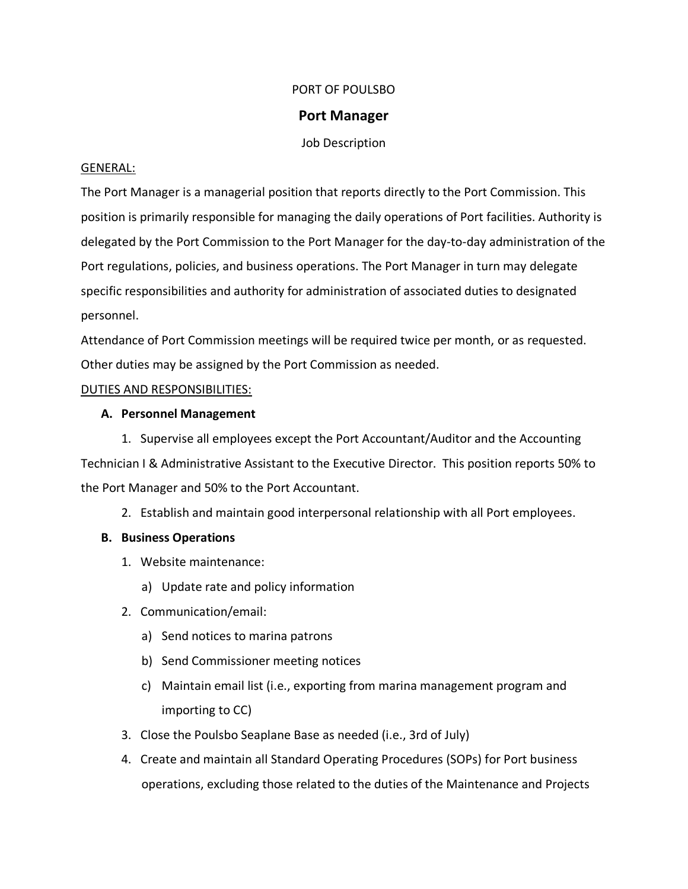## PORT OF POULSBO

#### **Port Manager**

Job Description

#### GENERAL:

The Port Manager is a managerial position that reports directly to the Port Commission. This position is primarily responsible for managing the daily operations of Port facilities. Authority is delegated by the Port Commission to the Port Manager for the day-to-day administration of the Port regulations, policies, and business operations. The Port Manager in turn may delegate specific responsibilities and authority for administration of associated duties to designated personnel.

Attendance of Port Commission meetings will be required twice per month, or as requested. Other duties may be assigned by the Port Commission as needed.

# DUTIES AND RESPONSIBILITIES:

#### **A. Personnel Management**

1. Supervise all employees except the Port Accountant/Auditor and the Accounting Technician I & Administrative Assistant to the Executive Director. This position reports 50% to the Port Manager and 50% to the Port Accountant.

2. Establish and maintain good interpersonal relationship with all Port employees.

# **B. Business Operations**

- 1. Website maintenance:
	- a) Update rate and policy information
- 2. Communication/email:
	- a) Send notices to marina patrons
	- b) Send Commissioner meeting notices
	- c) Maintain email list (i.e., exporting from marina management program and importing to CC)
- 3. Close the Poulsbo Seaplane Base as needed (i.e., 3rd of July)
- 4. Create and maintain all Standard Operating Procedures (SOPs) for Port business operations, excluding those related to the duties of the Maintenance and Projects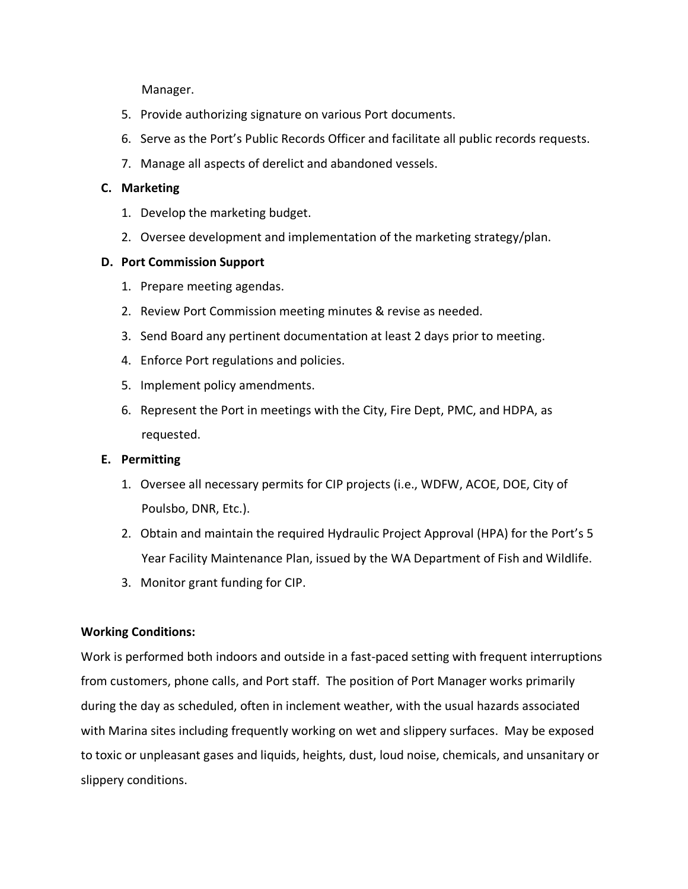Manager.

- 5. Provide authorizing signature on various Port documents.
- 6. Serve as the Port's Public Records Officer and facilitate all public records requests.
- 7. Manage all aspects of derelict and abandoned vessels.

# **C. Marketing**

- 1. Develop the marketing budget.
- 2. Oversee development and implementation of the marketing strategy/plan.

#### **D. Port Commission Support**

- 1. Prepare meeting agendas.
- 2. Review Port Commission meeting minutes & revise as needed.
- 3. Send Board any pertinent documentation at least 2 days prior to meeting.
- 4. Enforce Port regulations and policies.
- 5. Implement policy amendments.
- 6. Represent the Port in meetings with the City, Fire Dept, PMC, and HDPA, as requested.

# **E. Permitting**

- 1. Oversee all necessary permits for CIP projects (i.e., WDFW, ACOE, DOE, City of Poulsbo, DNR, Etc.).
- 2. Obtain and maintain the required Hydraulic Project Approval (HPA) for the Port's 5 Year Facility Maintenance Plan, issued by the WA Department of Fish and Wildlife.
- 3. Monitor grant funding for CIP.

# **Working Conditions:**

Work is performed both indoors and outside in a fast-paced setting with frequent interruptions from customers, phone calls, and Port staff. The position of Port Manager works primarily during the day as scheduled, often in inclement weather, with the usual hazards associated with Marina sites including frequently working on wet and slippery surfaces. May be exposed to toxic or unpleasant gases and liquids, heights, dust, loud noise, chemicals, and unsanitary or slippery conditions.